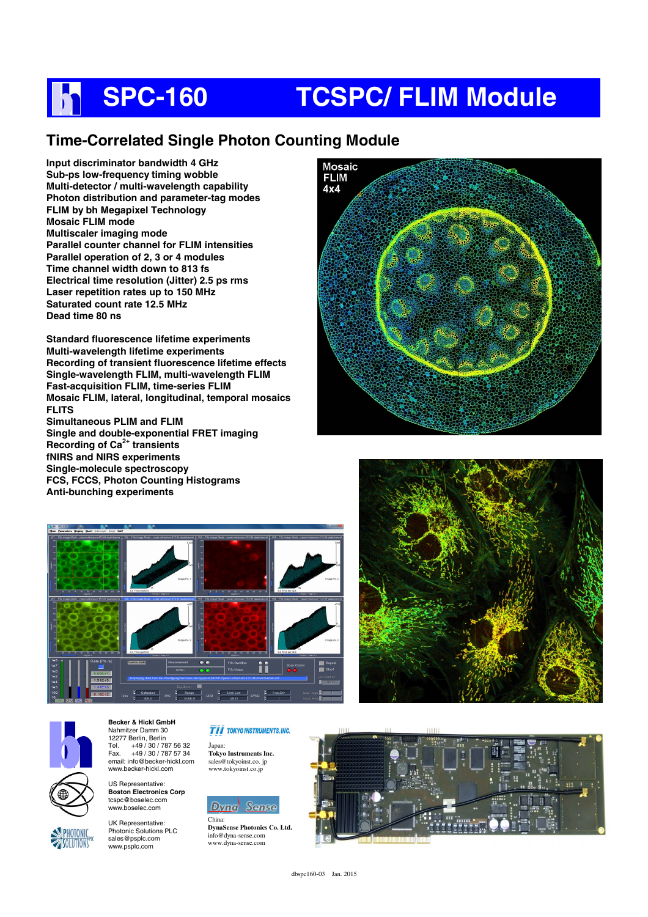## **SPC-160 TCSPC/ FLIM Module** h

### **Time-Correlated Single Photon Counting Module**

**Input discriminator bandwidth 4 GHz Sub-ps low-frequency timing wobble Multi-detector / multi-wavelength capability Photon distribution and parameter-tag modes FLIM by bh Megapixel Technology Mosaic FLIM mode Multiscaler imaging mode Parallel counter channel for FLIM intensities Parallel operation of 2, 3 or 4 modules Time channel width down to 813 fs Electrical time resolution (Jitter) 2.5 ps rms Laser repetition rates up to 150 MHz Saturated count rate 12.5 MHz Dead time 80 ns** 

**Standard fluorescence lifetime experiments Multi-wavelength lifetime experiments Recording of transient fluorescence lifetime effects Single-wavelength FLIM, multi-wavelength FLIM Fast-acquisition FLIM, time-series FLIM Mosaic FLIM, lateral, longitudinal, temporal mosaics FLITS Simultaneous PLIM and FLIM Single and double-exponential FRET imaging Recording of Ca2+ transients fNIRS and NIRS experiments Single-molecule spectroscopy FCS, FCCS, Photon Counting Histograms Anti-bunching experiments** 







**Becker & Hickl GmbH**  Nahmitzer Damm 30 12277 Berlin, Berlin<br>Tel. +49 / 30 / 78 Tel. +49 / 30 / 787 56 32<br>Fax +49 / 30 / 787 57 34 Fax. +49 / 30 / 787 57 34 email: info@becker-hickl.com www.becker-hickl.com

US Representative: **Boston Electronics Corp**  tcspc@boselec.com www.boselec.com

UK Representative: Photonic Solutions PLC sales@psplc.com www.psplc.com

#### **TII** TOKYO INSTRUMENTS, INC.

Japan: **Tokyo Instruments Inc.**  sales@tokyoinst.co. jp www.tokyoinst.co.jp

### **Dyna** Sense

China: **DynaSense Photonics Co. Ltd.**  info@dyna-sense.com www.dyna-sense.com